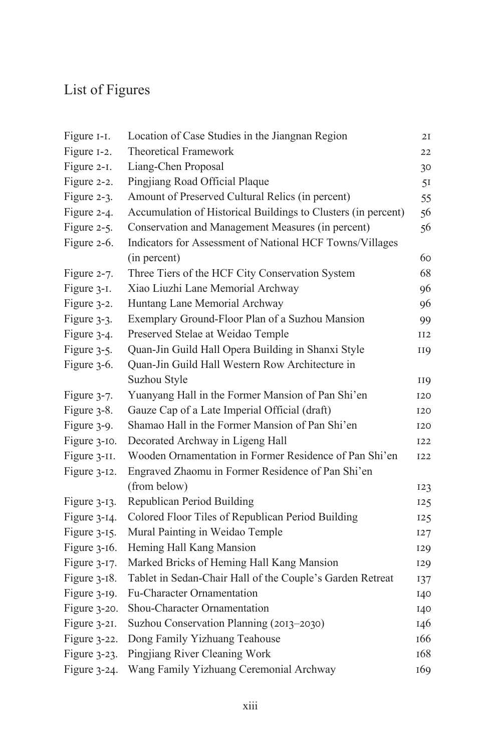## List of Figures

| Figure I-I.     | Location of Case Studies in the Jiangnan Region               | 2I         |
|-----------------|---------------------------------------------------------------|------------|
| Figure 1-2.     | <b>Theoretical Framework</b>                                  | 22         |
| Figure 2-1.     | Liang-Chen Proposal                                           | 30         |
| Figure 2-2.     | Pingjiang Road Official Plaque                                | 51         |
| Figure 2-3.     | Amount of Preserved Cultural Relics (in percent)              | 55         |
| Figure 2-4.     | Accumulation of Historical Buildings to Clusters (in percent) | 56         |
| Figure 2-5.     | Conservation and Management Measures (in percent)             | 56         |
| Figure 2-6.     | Indicators for Assessment of National HCF Towns/Villages      |            |
|                 | (in percent)                                                  | 60         |
| Figure 2-7.     | Three Tiers of the HCF City Conservation System               | 68         |
| Figure 3-1.     | Xiao Liuzhi Lane Memorial Archway                             | 96         |
| Figure 3-2.     | Huntang Lane Memorial Archway                                 | 96         |
| Figure 3-3.     | Exemplary Ground-Floor Plan of a Suzhou Mansion               | 99         |
| Figure 3-4.     | Preserved Stelae at Weidao Temple                             | II2        |
| Figure 3-5.     | Quan-Jin Guild Hall Opera Building in Shanxi Style            | 119        |
| Figure 3-6.     | Quan-Jin Guild Hall Western Row Architecture in               |            |
|                 | Suzhou Style                                                  | <b>II9</b> |
| Figure 3-7.     | Yuanyang Hall in the Former Mansion of Pan Shi'en             | <b>I20</b> |
| Figure 3-8.     | Gauze Cap of a Late Imperial Official (draft)                 | <b>I20</b> |
| Figure 3-9.     | Shamao Hall in the Former Mansion of Pan Shi'en               | <b>I20</b> |
| Figure 3-10.    | Decorated Archway in Ligeng Hall                              | <b>I22</b> |
| Figure 3-II.    | Wooden Ornamentation in Former Residence of Pan Shi'en        | 122        |
| Figure 3-12.    | Engraved Zhaomu in Former Residence of Pan Shi'en             |            |
|                 | (from below)                                                  | 123        |
| Figure $3-13$ . | Republican Period Building                                    | 125        |
| Figure 3-14.    | Colored Floor Tiles of Republican Period Building             | 125        |
| Figure 3-15.    | Mural Painting in Weidao Temple                               | 127        |
| Figure $3-16$ . | Heming Hall Kang Mansion                                      | 129        |
| Figure 3-17.    | Marked Bricks of Heming Hall Kang Mansion                     | 129        |
| Figure $3-18$ . | Tablet in Sedan-Chair Hall of the Couple's Garden Retreat     | 137        |
| Figure 3-19.    | Fu-Character Ornamentation                                    | 140        |
| Figure 3-20.    | Shou-Character Ornamentation                                  | 140        |
| Figure 3-21.    | Suzhou Conservation Planning (2013-2030)                      | 146        |
| Figure 3-22.    | Dong Family Yizhuang Teahouse                                 | 166        |
| Figure 3-23.    | Pingjiang River Cleaning Work                                 | 168        |
| Figure 3-24.    | Wang Family Yizhuang Ceremonial Archway                       | 169        |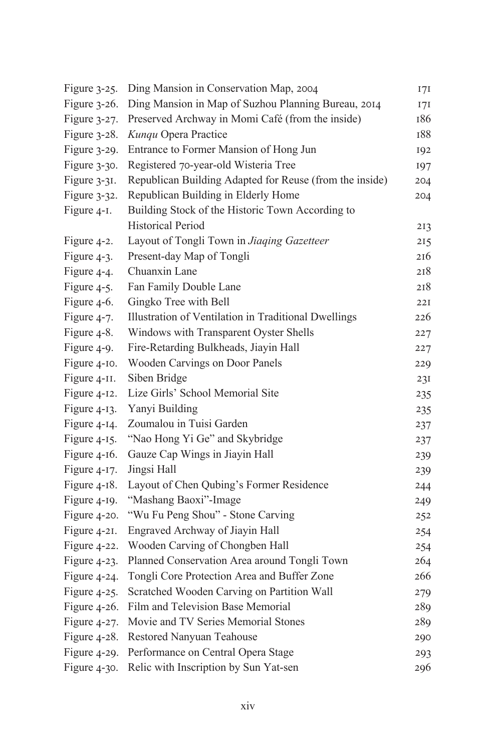| Figure 3-25.    | Ding Mansion in Conservation Map, 2004                  | 17I |
|-----------------|---------------------------------------------------------|-----|
| Figure 3-26.    | Ding Mansion in Map of Suzhou Planning Bureau, 2014     | 171 |
| Figure 3-27.    | Preserved Archway in Momi Café (from the inside)        | 186 |
| Figure 3-28.    | Kunqu Opera Practice                                    | 188 |
| Figure 3-29.    | Entrance to Former Mansion of Hong Jun                  | 192 |
| Figure 3-30.    | Registered 70-year-old Wisteria Tree                    | 197 |
| Figure 3-31.    | Republican Building Adapted for Reuse (from the inside) | 204 |
| Figure 3-32.    | Republican Building in Elderly Home                     | 204 |
| Figure 4-1.     | Building Stock of the Historic Town According to        |     |
|                 | <b>Historical Period</b>                                | 213 |
| Figure 4-2.     | Layout of Tongli Town in Jiaqing Gazetteer              | 215 |
| Figure 4-3.     | Present-day Map of Tongli                               | 216 |
| Figure 4-4.     | Chuanxin Lane                                           | 218 |
| Figure 4-5.     | Fan Family Double Lane                                  | 218 |
| Figure 4-6.     | Gingko Tree with Bell                                   | 22I |
| Figure 4-7.     | Illustration of Ventilation in Traditional Dwellings    | 226 |
| Figure 4-8.     | Windows with Transparent Oyster Shells                  | 227 |
| Figure 4-9.     | Fire-Retarding Bulkheads, Jiayin Hall                   | 227 |
| Figure 4-10.    | Wooden Carvings on Door Panels                          | 229 |
| Figure 4-II.    | Siben Bridge                                            | 231 |
| Figure 4-12.    | Lize Girls' School Memorial Site                        | 235 |
| Figure $4-13$ . | Yanyi Building                                          | 235 |
| Figure 4-14.    | Zoumalou in Tuisi Garden                                | 237 |
| Figure 4-15.    | "Nao Hong Yi Ge" and Skybridge                          | 237 |
| Figure 4-16.    | Gauze Cap Wings in Jiayin Hall                          | 239 |
| Figure 4-17.    | Jingsi Hall                                             | 239 |
| Figure 4-18.    | Layout of Chen Qubing's Former Residence                | 244 |
| Figure 4-19.    | "Mashang Baoxi"-Image                                   | 249 |
| Figure 4-20.    | "Wu Fu Peng Shou" - Stone Carving                       | 252 |
| Figure 4-21.    | Engraved Archway of Jiayin Hall                         | 254 |
| Figure 4-22.    | Wooden Carving of Chongben Hall                         | 254 |
| Figure 4-23.    | Planned Conservation Area around Tongli Town            | 264 |
| Figure 4-24.    | Tongli Core Protection Area and Buffer Zone             | 266 |
| Figure 4-25.    | Scratched Wooden Carving on Partition Wall              | 279 |
| Figure 4-26.    | Film and Television Base Memorial                       | 289 |
| Figure 4-27.    | Movie and TV Series Memorial Stones                     | 289 |
| Figure 4-28.    | Restored Nanyuan Teahouse                               | 290 |
| Figure 4-29.    | Performance on Central Opera Stage                      | 293 |
| Figure 4-30.    | Relic with Inscription by Sun Yat-sen                   | 296 |